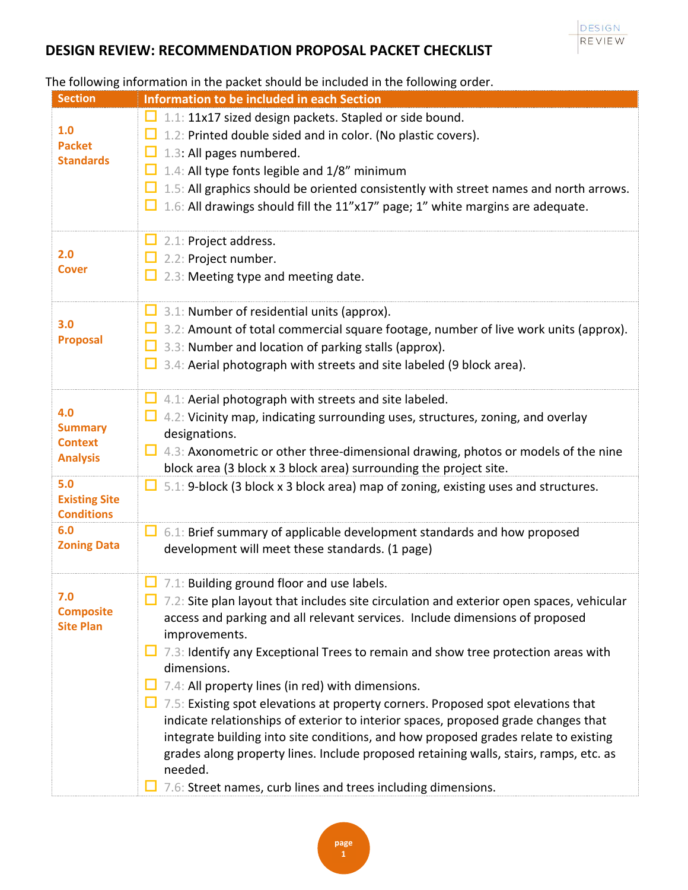

| <b>Section</b>                                             | Information to be included in each Section                                                                                                                                                                                                                                                                                                                                                                                                                                                                                                                                                                                                                                                                                                                                                                                                           |
|------------------------------------------------------------|------------------------------------------------------------------------------------------------------------------------------------------------------------------------------------------------------------------------------------------------------------------------------------------------------------------------------------------------------------------------------------------------------------------------------------------------------------------------------------------------------------------------------------------------------------------------------------------------------------------------------------------------------------------------------------------------------------------------------------------------------------------------------------------------------------------------------------------------------|
| 1.0<br><b>Packet</b><br><b>Standards</b>                   | $\Box$ 1.1: 11x17 sized design packets. Stapled or side bound.<br>$\Box$ 1.2: Printed double sided and in color. (No plastic covers).<br>1.3: All pages numbered.<br>1.4: All type fonts legible and 1/8" minimum<br>$\Box$ 1.5: All graphics should be oriented consistently with street names and north arrows.<br>$\Box$ 1.6: All drawings should fill the 11"x17" page; 1" white margins are adequate.                                                                                                                                                                                                                                                                                                                                                                                                                                           |
| 2.0<br><b>Cover</b>                                        | $\Box$ 2.1: Project address.<br>2.2: Project number.<br>2.3: Meeting type and meeting date.                                                                                                                                                                                                                                                                                                                                                                                                                                                                                                                                                                                                                                                                                                                                                          |
| 3.0<br><b>Proposal</b>                                     | $\Box$ 3.1: Number of residential units (approx).<br>$\Box$ 3.2: Amount of total commercial square footage, number of live work units (approx).<br>$\Box$ 3.3: Number and location of parking stalls (approx).<br>$\Box$ 3.4: Aerial photograph with streets and site labeled (9 block area).                                                                                                                                                                                                                                                                                                                                                                                                                                                                                                                                                        |
| 4.0<br><b>Summary</b><br><b>Context</b><br><b>Analysis</b> | $\Box$ 4.1: Aerial photograph with streets and site labeled.<br>4.2: Vicinity map, indicating surrounding uses, structures, zoning, and overlay<br>designations.<br>$\Box$ 4.3: Axonometric or other three-dimensional drawing, photos or models of the nine<br>block area (3 block x 3 block area) surrounding the project site.                                                                                                                                                                                                                                                                                                                                                                                                                                                                                                                    |
| 5.0<br><b>Existing Site</b><br><b>Conditions</b>           | $\Box$ 5.1: 9-block (3 block x 3 block area) map of zoning, existing uses and structures.                                                                                                                                                                                                                                                                                                                                                                                                                                                                                                                                                                                                                                                                                                                                                            |
| 6.0<br><b>Zoning Data</b>                                  | $\Box$ 6.1: Brief summary of applicable development standards and how proposed<br>development will meet these standards. (1 page)                                                                                                                                                                                                                                                                                                                                                                                                                                                                                                                                                                                                                                                                                                                    |
| 7.0<br><b>Composite</b><br><b>Site Plan</b>                | $\Box$ 7.1: Building ground floor and use labels.<br>7.2: Site plan layout that includes site circulation and exterior open spaces, vehicular<br>access and parking and all relevant services. Include dimensions of proposed<br>improvements.<br>$\Box$ 7.3: Identify any Exceptional Trees to remain and show tree protection areas with<br>dimensions.<br>7.4: All property lines (in red) with dimensions.<br>7.5: Existing spot elevations at property corners. Proposed spot elevations that<br>indicate relationships of exterior to interior spaces, proposed grade changes that<br>integrate building into site conditions, and how proposed grades relate to existing<br>grades along property lines. Include proposed retaining walls, stairs, ramps, etc. as<br>needed.<br>7.6: Street names, curb lines and trees including dimensions. |

#### The following information in the packet should be included in the following order.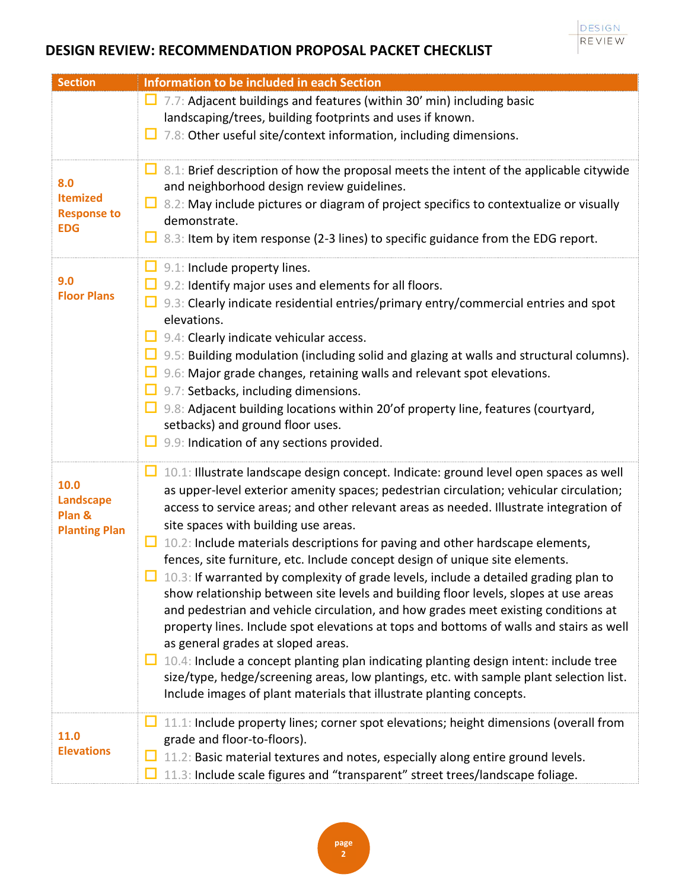| <b>Section</b>                                             | Information to be included in each Section                                                                                                                                                                                                                                                                                                                                                                 |
|------------------------------------------------------------|------------------------------------------------------------------------------------------------------------------------------------------------------------------------------------------------------------------------------------------------------------------------------------------------------------------------------------------------------------------------------------------------------------|
|                                                            | $\Box$ 7.7: Adjacent buildings and features (within 30' min) including basic                                                                                                                                                                                                                                                                                                                               |
|                                                            | landscaping/trees, building footprints and uses if known.                                                                                                                                                                                                                                                                                                                                                  |
|                                                            | 7.8: Other useful site/context information, including dimensions.<br>ப                                                                                                                                                                                                                                                                                                                                     |
| 8.0<br><b>Itemized</b><br><b>Response to</b><br><b>EDG</b> | $\Box$ 8.1: Brief description of how the proposal meets the intent of the applicable citywide<br>and neighborhood design review guidelines.<br>$\Box$ 8.2: May include pictures or diagram of project specifics to contextualize or visually<br>demonstrate.<br>$\Box$ 8.3: Item by item response (2-3 lines) to specific guidance from the EDG report.                                                    |
|                                                            | $\Box$ 9.1: Include property lines.                                                                                                                                                                                                                                                                                                                                                                        |
| 9.0<br><b>Floor Plans</b>                                  | $\Box$ 9.2: Identify major uses and elements for all floors.                                                                                                                                                                                                                                                                                                                                               |
|                                                            | <b>D</b> 9.3: Clearly indicate residential entries/primary entry/commercial entries and spot                                                                                                                                                                                                                                                                                                               |
|                                                            | elevations.                                                                                                                                                                                                                                                                                                                                                                                                |
|                                                            | $\Box$ 9.4: Clearly indicate vehicular access.<br>$\Box$ 9.5: Building modulation (including solid and glazing at walls and structural columns).                                                                                                                                                                                                                                                           |
|                                                            | $\Box$ 9.6: Major grade changes, retaining walls and relevant spot elevations.                                                                                                                                                                                                                                                                                                                             |
|                                                            | $\Box$ 9.7: Setbacks, including dimensions.                                                                                                                                                                                                                                                                                                                                                                |
|                                                            | $\Box$ 9.8: Adjacent building locations within 20' of property line, features (courtyard,                                                                                                                                                                                                                                                                                                                  |
|                                                            | setbacks) and ground floor uses.                                                                                                                                                                                                                                                                                                                                                                           |
|                                                            | 9.9: Indication of any sections provided.<br>ப                                                                                                                                                                                                                                                                                                                                                             |
| 10.0<br><b>Landscape</b><br>Plan &<br><b>Planting Plan</b> | $\Box$ 10.1: Illustrate landscape design concept. Indicate: ground level open spaces as well<br>as upper-level exterior amenity spaces; pedestrian circulation; vehicular circulation;<br>access to service areas; and other relevant areas as needed. Illustrate integration of<br>site spaces with building use areas.                                                                                   |
|                                                            | $\Box$ 10.2: Include materials descriptions for paving and other hardscape elements,<br>fences, site furniture, etc. Include concept design of unique site elements.                                                                                                                                                                                                                                       |
|                                                            | $\Box$ 10.3: If warranted by complexity of grade levels, include a detailed grading plan to<br>show relationship between site levels and building floor levels, slopes at use areas<br>and pedestrian and vehicle circulation, and how grades meet existing conditions at<br>property lines. Include spot elevations at tops and bottoms of walls and stairs as well<br>as general grades at sloped areas. |
|                                                            | $\Box$ 10.4: Include a concept planting plan indicating planting design intent: include tree<br>size/type, hedge/screening areas, low plantings, etc. with sample plant selection list.<br>Include images of plant materials that illustrate planting concepts.                                                                                                                                            |
| 11.0<br><b>Elevations</b>                                  | 11.1: Include property lines; corner spot elevations; height dimensions (overall from                                                                                                                                                                                                                                                                                                                      |
|                                                            | grade and floor-to-floors).                                                                                                                                                                                                                                                                                                                                                                                |
|                                                            | 11.2: Basic material textures and notes, especially along entire ground levels.<br>11.3: Include scale figures and "transparent" street trees/landscape foliage.                                                                                                                                                                                                                                           |
|                                                            |                                                                                                                                                                                                                                                                                                                                                                                                            |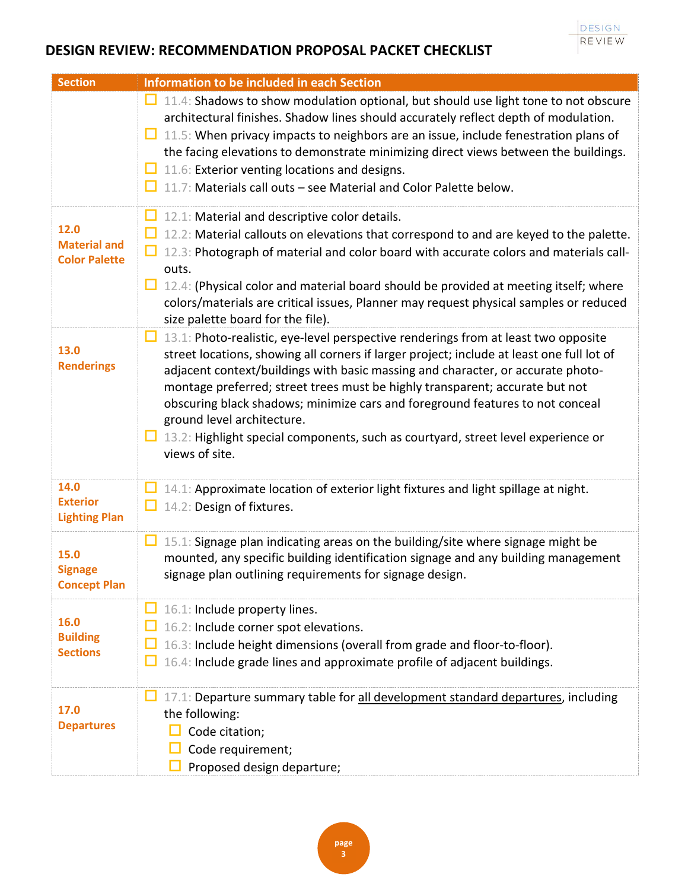| <b>Section</b>                                      | Information to be included in each Section                                                                                                                                                                                                                                                                                                                                                                                                                                                                                                                                           |
|-----------------------------------------------------|--------------------------------------------------------------------------------------------------------------------------------------------------------------------------------------------------------------------------------------------------------------------------------------------------------------------------------------------------------------------------------------------------------------------------------------------------------------------------------------------------------------------------------------------------------------------------------------|
|                                                     | $\Box$ 11.4: Shadows to show modulation optional, but should use light tone to not obscure<br>architectural finishes. Shadow lines should accurately reflect depth of modulation.<br>$\Box$ 11.5: When privacy impacts to neighbors are an issue, include fenestration plans of<br>the facing elevations to demonstrate minimizing direct views between the buildings.<br>$\Box$ 11.6: Exterior venting locations and designs.<br>11.7: Materials call outs - see Material and Color Palette below.                                                                                  |
| 12.0<br><b>Material and</b><br><b>Color Palette</b> | 12.1: Material and descriptive color details.<br>□.<br>12.2: Material callouts on elevations that correspond to and are keyed to the palette.<br>12.3: Photograph of material and color board with accurate colors and materials call-<br>outs.<br>□.<br>12.4: (Physical color and material board should be provided at meeting itself; where<br>colors/materials are critical issues, Planner may request physical samples or reduced<br>size palette board for the file).                                                                                                          |
| 13.0<br><b>Renderings</b>                           | 13.1: Photo-realistic, eye-level perspective renderings from at least two opposite<br>ப<br>street locations, showing all corners if larger project; include at least one full lot of<br>adjacent context/buildings with basic massing and character, or accurate photo-<br>montage preferred; street trees must be highly transparent; accurate but not<br>obscuring black shadows; minimize cars and foreground features to not conceal<br>ground level architecture.<br>$\Box$ 13.2: Highlight special components, such as courtyard, street level experience or<br>views of site. |
| 14.0<br><b>Exterior</b><br><b>Lighting Plan</b>     | 14.1: Approximate location of exterior light fixtures and light spillage at night.<br>14.2: Design of fixtures.<br>ப                                                                                                                                                                                                                                                                                                                                                                                                                                                                 |
| 15.0<br><b>Signage</b><br><b>Concept Plan</b>       | 15.1: Signage plan indicating areas on the building/site where signage might be<br>ப<br>mounted, any specific building identification signage and any building management<br>signage plan outlining requirements for signage design.                                                                                                                                                                                                                                                                                                                                                 |
| 16.0<br><b>Building</b><br><b>Sections</b>          | 16.1: Include property lines.<br>16.2: Include corner spot elevations.<br>16.3: Include height dimensions (overall from grade and floor-to-floor).<br>16.4: Include grade lines and approximate profile of adjacent buildings.                                                                                                                                                                                                                                                                                                                                                       |
| 17.0<br><b>Departures</b>                           | 17.1: Departure summary table for all development standard departures, including<br>the following:<br>Code citation;<br>Code requirement;<br>Proposed design departure;                                                                                                                                                                                                                                                                                                                                                                                                              |